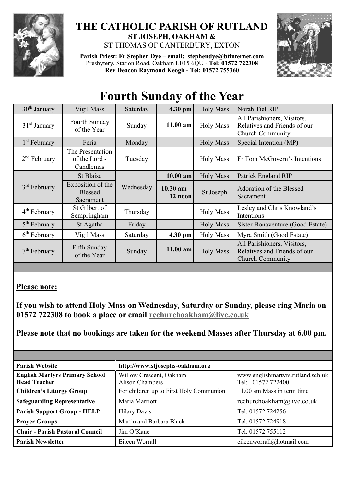

## **THE CATHOLIC PARISH OF RUTLAND ST JOSEPH, OAKHAM &**  ST THOMAS OF CANTERBURY, EXTON

**Parish Priest: Fr Stephen Dye** – **[email: stephendye@btinternet.com](mailto:email:%20%20stephendye@btinternet.com)** Presbytery, Station Road, Oakham LE15 6QU - **Tel: 01572 722308 Rev Deacon Raymond Keogh - Tel: 01572 755360**



## **Fourth Sunday of the Year**

| $30th$ January           | Vigil Mass                                       | Saturday  | 4.30 pm                   | <b>Holy Mass</b> | Norah Tiel RIP                                                                         |
|--------------------------|--------------------------------------------------|-----------|---------------------------|------------------|----------------------------------------------------------------------------------------|
| $31st$ January           | Fourth Sunday<br>of the Year                     | Sunday    | 11.00 am                  | <b>Holy Mass</b> | All Parishioners, Visitors,<br>Relatives and Friends of our<br><b>Church Community</b> |
| 1 <sup>st</sup> February | Feria                                            | Monday    |                           | <b>Holy Mass</b> | Special Intention (MP)                                                                 |
| $2nd$ February           | The Presentation<br>of the Lord -<br>Candlemas   | Tuesday   |                           | <b>Holy Mass</b> | Fr Tom McGovern's Intentions                                                           |
| $3rd$ February           | St Blaise                                        | Wednesday | $10.00$ am                | <b>Holy Mass</b> | Patrick England RIP                                                                    |
|                          | Exposition of the<br><b>Blessed</b><br>Sacrament |           | $10.30$ am $-$<br>12 noon | St Joseph        | Adoration of the Blessed<br>Sacrament                                                  |
| 4 <sup>th</sup> February | St Gilbert of<br>Sempringham                     | Thursday  |                           | <b>Holy Mass</b> | Lesley and Chris Knowland's<br>Intentions                                              |
| 5 <sup>th</sup> February | St Agatha                                        | Friday    |                           | <b>Holy Mass</b> | Sister Bonaventure (Good Estate)                                                       |
| $6th$ February           | Vigil Mass                                       | Saturday  | 4.30 pm                   | <b>Holy Mass</b> | Myra Smith (Good Estate)                                                               |
| $7th$ February           | Fifth Sunday<br>of the Year                      | Sunday    | 11.00 am                  | <b>Holy Mass</b> | All Parishioners, Visitors,<br>Relatives and Friends of our<br><b>Church Community</b> |

## **Please note:**

**If you wish to attend Holy Mass on Wednesday, Saturday or Sunday, please ring Maria on 01572 722308 to book a place or email [rcchurchoakham@live.co.uk](mailto:rcchurchoakham@live.co.uk)**

**Please note that no bookings are taken for the weekend Masses after Thursday at 6.00 pm.**

| <b>Parish Website</b>                                        | http://www.stjosephs-oakham.org            |                                                        |  |  |
|--------------------------------------------------------------|--------------------------------------------|--------------------------------------------------------|--|--|
| <b>English Martyrs Primary School</b><br><b>Head Teacher</b> | Willow Crescent, Oakham<br>Alison Chambers | www.englishmartyrs.rutland.sch.uk<br>Tel: 01572 722400 |  |  |
| <b>Children's Liturgy Group</b>                              | For children up to First Holy Communion    | 11.00 am Mass in term time                             |  |  |
| <b>Safeguarding Representative</b>                           | Maria Marriott                             | rcchurchoakham@live.co.uk                              |  |  |
| <b>Parish Support Group - HELP</b>                           | <b>Hilary Davis</b>                        | Tel: 01572 724256                                      |  |  |
| <b>Prayer Groups</b>                                         | Martin and Barbara Black                   | Tel: 01572 724918                                      |  |  |
| <b>Chair - Parish Pastoral Council</b>                       | Jim O'Kane                                 | Tel: 01572 755112                                      |  |  |
| <b>Parish Newsletter</b>                                     | Eileen Worrall                             | eileenworrall@hotmail.com                              |  |  |